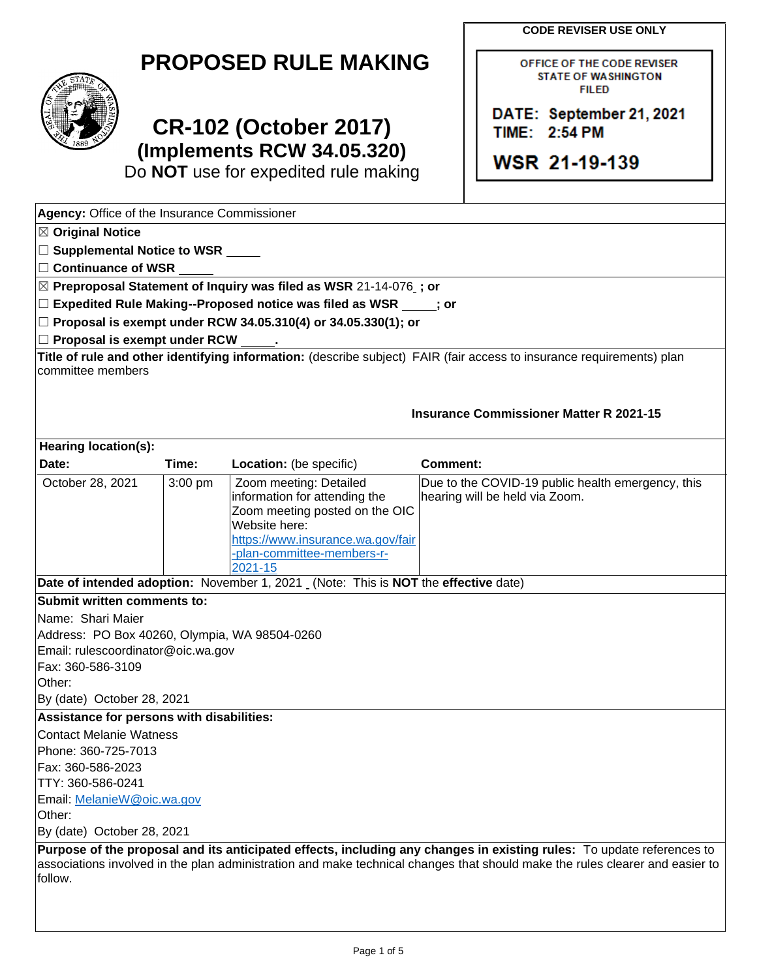**CODE REVISER USE ONLY** 

OFFICE OF THE CODE REVISER

DATE: September 21, 2021

| <b>PROPOSED RULE MAKING</b> | <b>OFFICE OF THE CODE REVIS</b> |
|-----------------------------|---------------------------------|
| STATF                       | <b>STATE OF WASHINGTON</b>      |
|                             |                                 |



## TIME: 2:54 PM<br>
(Implements RCW 34 05 320) **CR-102 (October 2017)** TIME: 2:54 PM **Examplements RCW 34.05.320)**<br>
Do NOT use for expedited rule making<br> **WSR 21-19-139**

Do **NOT** use for expedited rule making

 committee members Name: Shari Maier  **Purpose of the proposal and its anticipated effects, including any changes in existing rules:** To update references to -- -- ☐ **Supplemental Notice to WSR ⊠ Preproposal Statement of Inquiry was filed as WSR 21-14-076 <sub>-</sub>; or <br>□ Expedited Rule Making--Proposed notice was filed as WSR \_\_\_\_\_;<br>□ Proposal is exempt under RCW 34.05.310(4) or 34.05.330(1): or** □ Proposal is exempt under RCW 34.05.310(4) or 34.05.330(1); or<br>□ Proposal is exempt under RCW \_\_\_\_\_.<br>Title of rule and other identifying information: (describe subject) F/ **Date of intended adoption:** November 1, 2021 (Note: This is **NOT** the **effective** date) **Agency:** Office of the Insurance Commissioner ☒ **Original Notice**  ☐ **Continuance of WSR**  ☐ **Expedited Rule Making--Proposed notice was filed as WSR ; or**  □ Proposal is exempt under RCW **Title of rule and other identifying information:** (describe subject) FAIR (fair access to insurance requirements) plan **Insurance Commissioner Matter R 2021-15 Hearing location(s): Date:** Time: Location: (be specific) **Comment:** October 28, 2021 | 3:00 pm | Zoom meeting: Detailed information for attending the Zoom meeting posted on the OIC Website here: [https://www.insurance.wa.gov/fair](https://www.insurance.wa.gov/fair-plan-committee-members-r-2021-15)  [-plan-committee-members-r-](https://www.insurance.wa.gov/fair-plan-committee-members-r-2021-15)[2021-15](https://www.insurance.wa.gov/fair-plan-committee-members-r-2021-15)  Due to the COVID-19 public health emergency, this hearing will be held via Zoom. **Submit written comments to:**  Address: PO Box 40260, Olympia, WA 98504-0260 Email: rulescoordinator@oic.wa.gov Fax: 360-586-3109 Other: By (date) October 28, 2021 **Assistance for persons with disabilities:**  Contact Melanie Watness Phone: 360-725-7013 Fax: 360-586-2023 TTY: 360-586-0241 Email: [MelanieW@oic.wa.gov](mailto:MelanieW@oic.wa.gov)  Other: By (date) October 28, 2021 associations involved in the plan administration and make technical changes that should make the rules clearer and easier to follow.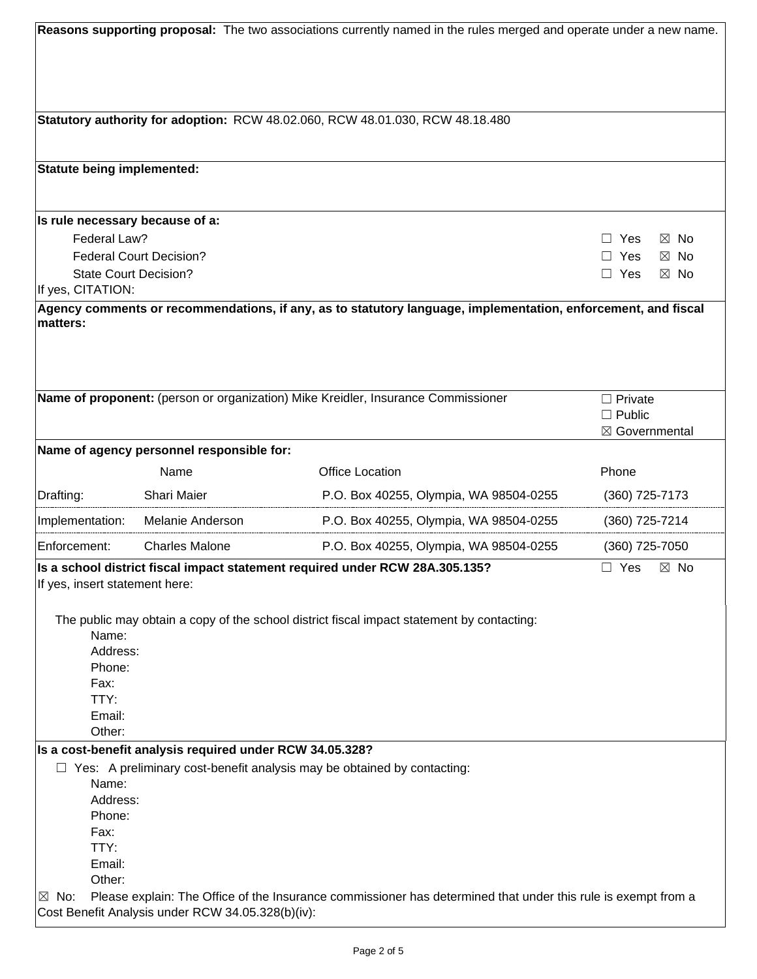| Reasons supporting proposal: The two associations currently named in the rules merged and operate under a new name. |                                                          |                                                                                                               |                              |  |
|---------------------------------------------------------------------------------------------------------------------|----------------------------------------------------------|---------------------------------------------------------------------------------------------------------------|------------------------------|--|
|                                                                                                                     |                                                          |                                                                                                               |                              |  |
|                                                                                                                     |                                                          |                                                                                                               |                              |  |
|                                                                                                                     |                                                          |                                                                                                               |                              |  |
|                                                                                                                     |                                                          |                                                                                                               |                              |  |
|                                                                                                                     |                                                          | Statutory authority for adoption: RCW 48.02.060, RCW 48.01.030, RCW 48.18.480                                 |                              |  |
|                                                                                                                     |                                                          |                                                                                                               |                              |  |
|                                                                                                                     |                                                          |                                                                                                               |                              |  |
| <b>Statute being implemented:</b>                                                                                   |                                                          |                                                                                                               |                              |  |
|                                                                                                                     |                                                          |                                                                                                               |                              |  |
| Is rule necessary because of a:                                                                                     |                                                          |                                                                                                               |                              |  |
| Federal Law?                                                                                                        |                                                          |                                                                                                               | Yes<br>$\boxtimes$ No        |  |
|                                                                                                                     | <b>Federal Court Decision?</b>                           |                                                                                                               | Yes<br>$\boxtimes$ No        |  |
| <b>State Court Decision?</b>                                                                                        |                                                          |                                                                                                               | Yes<br>$\boxtimes$ No        |  |
| If yes, CITATION:                                                                                                   |                                                          |                                                                                                               |                              |  |
|                                                                                                                     |                                                          | Agency comments or recommendations, if any, as to statutory language, implementation, enforcement, and fiscal |                              |  |
| matters:                                                                                                            |                                                          |                                                                                                               |                              |  |
|                                                                                                                     |                                                          |                                                                                                               |                              |  |
|                                                                                                                     |                                                          |                                                                                                               |                              |  |
|                                                                                                                     |                                                          |                                                                                                               |                              |  |
|                                                                                                                     |                                                          | Name of proponent: (person or organization) Mike Kreidler, Insurance Commissioner                             | $\Box$ Private               |  |
|                                                                                                                     |                                                          |                                                                                                               | $\Box$ Public                |  |
|                                                                                                                     |                                                          |                                                                                                               | ⊠ Governmental               |  |
|                                                                                                                     | Name of agency personnel responsible for:                |                                                                                                               |                              |  |
|                                                                                                                     | Name                                                     | <b>Office Location</b>                                                                                        | Phone                        |  |
| Drafting:                                                                                                           | Shari Maier                                              | P.O. Box 40255, Olympia, WA 98504-0255                                                                        | (360) 725-7173               |  |
| Implementation:                                                                                                     | Melanie Anderson                                         | P.O. Box 40255, Olympia, WA 98504-0255                                                                        | (360) 725-7214               |  |
| Enforcement:                                                                                                        | <b>Charles Malone</b>                                    | P.O. Box 40255, Olympia, WA 98504-0255                                                                        | (360) 725-7050               |  |
|                                                                                                                     |                                                          | Is a school district fiscal impact statement required under RCW 28A.305.135?                                  | $\Box$ Yes<br>$\boxtimes$ No |  |
| If yes, insert statement here:                                                                                      |                                                          |                                                                                                               |                              |  |
|                                                                                                                     |                                                          |                                                                                                               |                              |  |
|                                                                                                                     |                                                          | The public may obtain a copy of the school district fiscal impact statement by contacting:                    |                              |  |
| Name:<br>Address:                                                                                                   |                                                          |                                                                                                               |                              |  |
| Phone:                                                                                                              |                                                          |                                                                                                               |                              |  |
| Fax:                                                                                                                |                                                          |                                                                                                               |                              |  |
| TTY:                                                                                                                |                                                          |                                                                                                               |                              |  |
| Email:                                                                                                              |                                                          |                                                                                                               |                              |  |
| Other:                                                                                                              |                                                          |                                                                                                               |                              |  |
|                                                                                                                     | Is a cost-benefit analysis required under RCW 34.05.328? |                                                                                                               |                              |  |
|                                                                                                                     |                                                          | $\Box$ Yes: A preliminary cost-benefit analysis may be obtained by contacting:                                |                              |  |
| Name:<br>Address:                                                                                                   |                                                          |                                                                                                               |                              |  |
| Phone:                                                                                                              |                                                          |                                                                                                               |                              |  |
| Fax:                                                                                                                |                                                          |                                                                                                               |                              |  |
| TTY:                                                                                                                |                                                          |                                                                                                               |                              |  |
| Email:                                                                                                              |                                                          |                                                                                                               |                              |  |
| Other:                                                                                                              |                                                          |                                                                                                               |                              |  |
| $\boxtimes$ No:                                                                                                     | Cost Benefit Analysis under RCW 34.05.328(b)(iv):        | Please explain: The Office of the Insurance commissioner has determined that under this rule is exempt from a |                              |  |
|                                                                                                                     |                                                          |                                                                                                               |                              |  |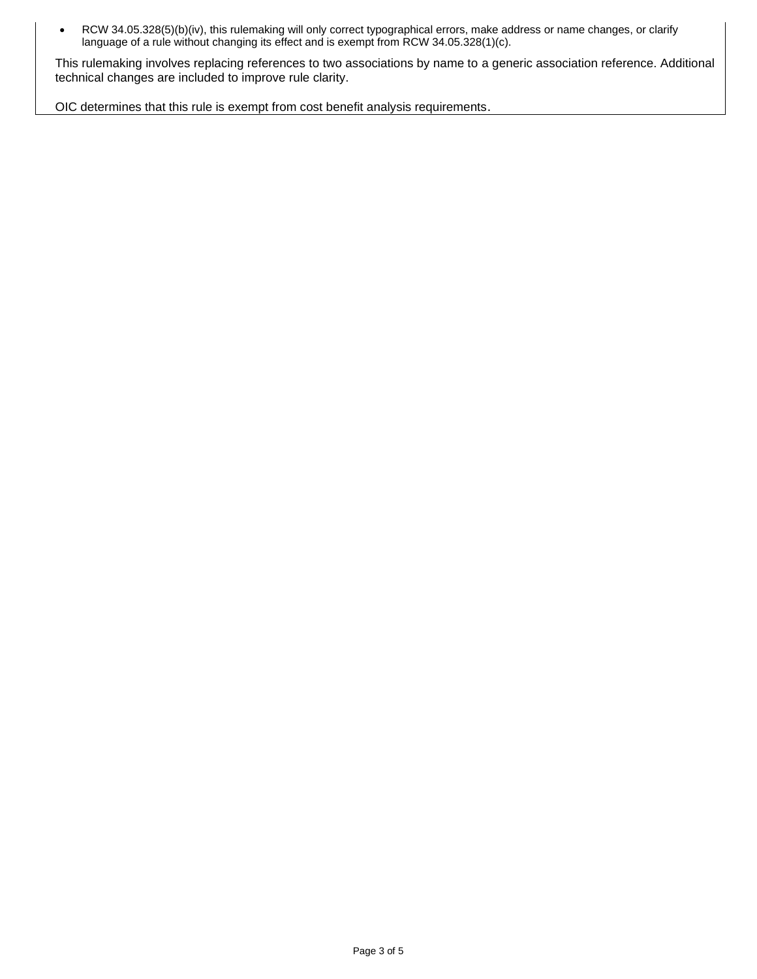• RCW 34.05.328(5)(b)(iv), this rulemaking will only correct typographical errors, make address or name changes, or clarify language of a rule without changing its effect and is exempt from RCW 34.05.328(1)(c).

This rulemaking involves replacing references to two associations by name to a generic association reference. Additional technical changes are included to improve rule clarity.

OIC determines that this rule is exempt from cost benefit analysis requirements.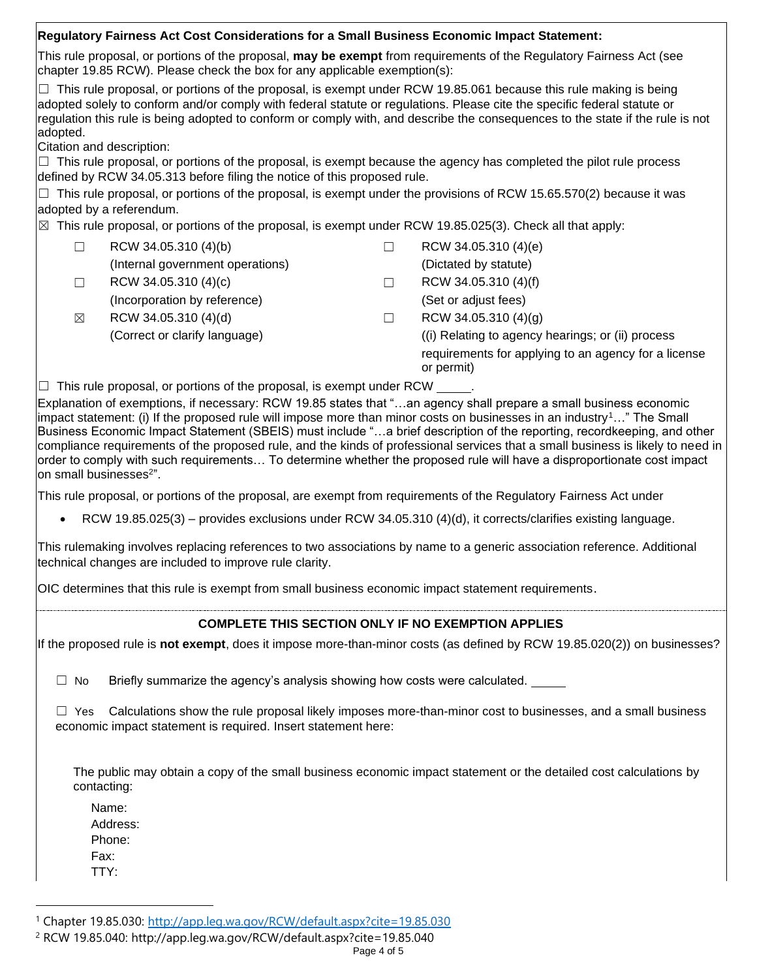| Regulatory Fairness Act Cost Considerations for a Small Business Economic Impact Statement:                                                                                                                                                                                                                                                                                                                                                                                                           |                                                                                                                                                                                                                                                                                                                                                                                                                                                                                                                                                                                                                                 |
|-------------------------------------------------------------------------------------------------------------------------------------------------------------------------------------------------------------------------------------------------------------------------------------------------------------------------------------------------------------------------------------------------------------------------------------------------------------------------------------------------------|---------------------------------------------------------------------------------------------------------------------------------------------------------------------------------------------------------------------------------------------------------------------------------------------------------------------------------------------------------------------------------------------------------------------------------------------------------------------------------------------------------------------------------------------------------------------------------------------------------------------------------|
| chapter 19.85 RCW). Please check the box for any applicable exemption(s):                                                                                                                                                                                                                                                                                                                                                                                                                             | This rule proposal, or portions of the proposal, may be exempt from requirements of the Regulatory Fairness Act (see                                                                                                                                                                                                                                                                                                                                                                                                                                                                                                            |
| $\Box$ This rule proposal, or portions of the proposal, is exempt under RCW 19.85.061 because this rule making is being<br>adopted solely to conform and/or comply with federal statute or regulations. Please cite the specific federal statute or<br>adopted.<br>Citation and description:<br>$\Box$ This rule proposal, or portions of the proposal, is exempt because the agency has completed the pilot rule process<br>defined by RCW 34.05.313 before filing the notice of this proposed rule. | regulation this rule is being adopted to conform or comply with, and describe the consequences to the state if the rule is not                                                                                                                                                                                                                                                                                                                                                                                                                                                                                                  |
| $\Box$<br>adopted by a referendum.                                                                                                                                                                                                                                                                                                                                                                                                                                                                    | This rule proposal, or portions of the proposal, is exempt under the provisions of RCW 15.65.570(2) because it was                                                                                                                                                                                                                                                                                                                                                                                                                                                                                                              |
| $\boxtimes$ This rule proposal, or portions of the proposal, is exempt under RCW 19.85.025(3). Check all that apply:                                                                                                                                                                                                                                                                                                                                                                                  |                                                                                                                                                                                                                                                                                                                                                                                                                                                                                                                                                                                                                                 |
| RCW 34.05.310 (4)(b)<br>$\Box$                                                                                                                                                                                                                                                                                                                                                                                                                                                                        | RCW 34.05.310 (4)(e)<br>$\Box$                                                                                                                                                                                                                                                                                                                                                                                                                                                                                                                                                                                                  |
| (Internal government operations)                                                                                                                                                                                                                                                                                                                                                                                                                                                                      | (Dictated by statute)                                                                                                                                                                                                                                                                                                                                                                                                                                                                                                                                                                                                           |
| RCW 34.05.310 (4)(c)<br>$\Box$                                                                                                                                                                                                                                                                                                                                                                                                                                                                        | RCW 34.05.310 (4)(f)<br>$\Box$                                                                                                                                                                                                                                                                                                                                                                                                                                                                                                                                                                                                  |
| (Incorporation by reference)                                                                                                                                                                                                                                                                                                                                                                                                                                                                          | (Set or adjust fees)                                                                                                                                                                                                                                                                                                                                                                                                                                                                                                                                                                                                            |
| RCW 34.05.310 (4)(d)<br>$\boxtimes$                                                                                                                                                                                                                                                                                                                                                                                                                                                                   | RCW 34.05.310 (4)(g)<br>$\Box$                                                                                                                                                                                                                                                                                                                                                                                                                                                                                                                                                                                                  |
| (Correct or clarify language)                                                                                                                                                                                                                                                                                                                                                                                                                                                                         | (i) Relating to agency hearings; or (ii) process                                                                                                                                                                                                                                                                                                                                                                                                                                                                                                                                                                                |
|                                                                                                                                                                                                                                                                                                                                                                                                                                                                                                       | requirements for applying to an agency for a license<br>or permit)                                                                                                                                                                                                                                                                                                                                                                                                                                                                                                                                                              |
| $\Box$ This rule proposal, or portions of the proposal, is exempt under RCW $\_\_\_\_\.\$                                                                                                                                                                                                                                                                                                                                                                                                             |                                                                                                                                                                                                                                                                                                                                                                                                                                                                                                                                                                                                                                 |
| on small businesses <sup>2"</sup> .<br>This rule proposal, or portions of the proposal, are exempt from requirements of the Regulatory Fairness Act under<br>$\bullet$<br>technical changes are included to improve rule clarity.                                                                                                                                                                                                                                                                     | Business Economic Impact Statement (SBEIS) must include "a brief description of the reporting, recordkeeping, and other<br>compliance requirements of the proposed rule, and the kinds of professional services that a small business is likely to need in<br>order to comply with such requirements To determine whether the proposed rule will have a disproportionate cost impact<br>RCW 19.85.025(3) – provides exclusions under RCW 34.05.310 (4)(d), it corrects/clarifies existing language.<br>This rulemaking involves replacing references to two associations by name to a generic association reference. Additional |
|                                                                                                                                                                                                                                                                                                                                                                                                                                                                                                       | OIC determines that this rule is exempt from small business economic impact statement requirements.                                                                                                                                                                                                                                                                                                                                                                                                                                                                                                                             |
|                                                                                                                                                                                                                                                                                                                                                                                                                                                                                                       | <b>COMPLETE THIS SECTION ONLY IF NO EXEMPTION APPLIES</b>                                                                                                                                                                                                                                                                                                                                                                                                                                                                                                                                                                       |
|                                                                                                                                                                                                                                                                                                                                                                                                                                                                                                       | If the proposed rule is not exempt, does it impose more-than-minor costs (as defined by RCW 19.85.020(2)) on businesses?                                                                                                                                                                                                                                                                                                                                                                                                                                                                                                        |
| Briefly summarize the agency's analysis showing how costs were calculated.<br>$\Box$ No                                                                                                                                                                                                                                                                                                                                                                                                               |                                                                                                                                                                                                                                                                                                                                                                                                                                                                                                                                                                                                                                 |
| $\Box$ Yes<br>economic impact statement is required. Insert statement here:                                                                                                                                                                                                                                                                                                                                                                                                                           | Calculations show the rule proposal likely imposes more-than-minor cost to businesses, and a small business                                                                                                                                                                                                                                                                                                                                                                                                                                                                                                                     |
| contacting:                                                                                                                                                                                                                                                                                                                                                                                                                                                                                           | The public may obtain a copy of the small business economic impact statement or the detailed cost calculations by                                                                                                                                                                                                                                                                                                                                                                                                                                                                                                               |
| Name:                                                                                                                                                                                                                                                                                                                                                                                                                                                                                                 |                                                                                                                                                                                                                                                                                                                                                                                                                                                                                                                                                                                                                                 |
| Address:                                                                                                                                                                                                                                                                                                                                                                                                                                                                                              |                                                                                                                                                                                                                                                                                                                                                                                                                                                                                                                                                                                                                                 |
| Phone:                                                                                                                                                                                                                                                                                                                                                                                                                                                                                                |                                                                                                                                                                                                                                                                                                                                                                                                                                                                                                                                                                                                                                 |
| Fax:                                                                                                                                                                                                                                                                                                                                                                                                                                                                                                  |                                                                                                                                                                                                                                                                                                                                                                                                                                                                                                                                                                                                                                 |
| TTY:                                                                                                                                                                                                                                                                                                                                                                                                                                                                                                  |                                                                                                                                                                                                                                                                                                                                                                                                                                                                                                                                                                                                                                 |

<sup>&</sup>lt;sup>1</sup> Chapter 19.85.030: http://app.leg.wa.gov/RCW/default.aspx?cite=19.85.030

<sup>2</sup> RCW 19.85.040:<http://app.leg.wa.gov/RCW/default.aspx?cite=19.85.040>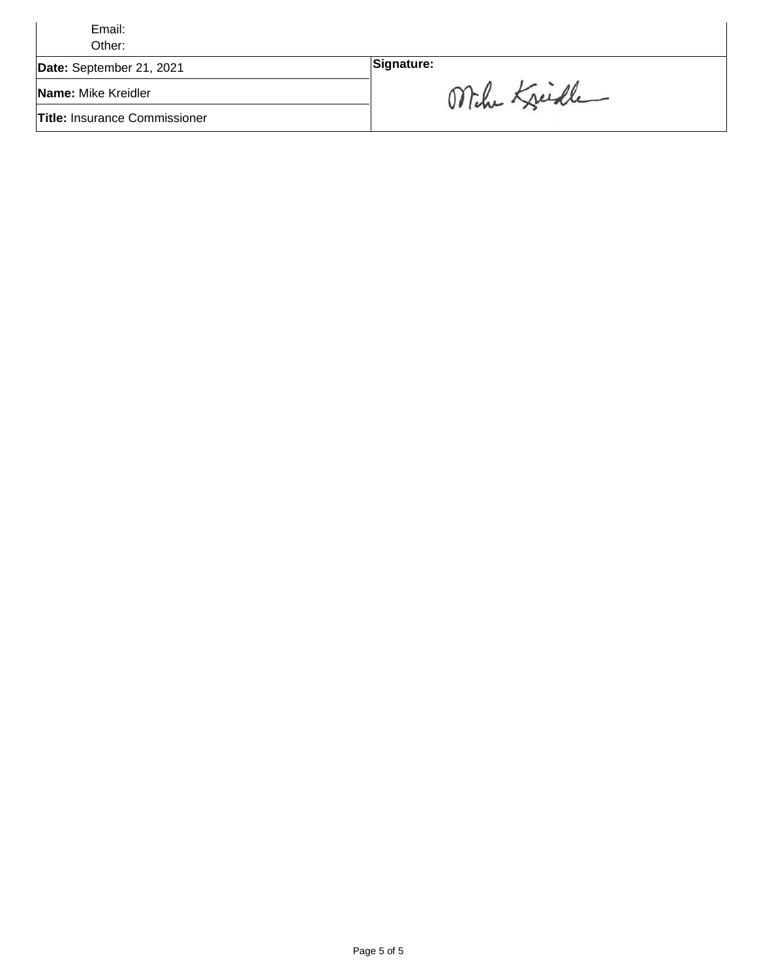| Email:<br>Other:                     |              |
|--------------------------------------|--------------|
| Date: September 21, 2021             | Signature:   |
| Name: Mike Kreidler                  | Mihe Kreidle |
| <b>Title: Insurance Commissioner</b> |              |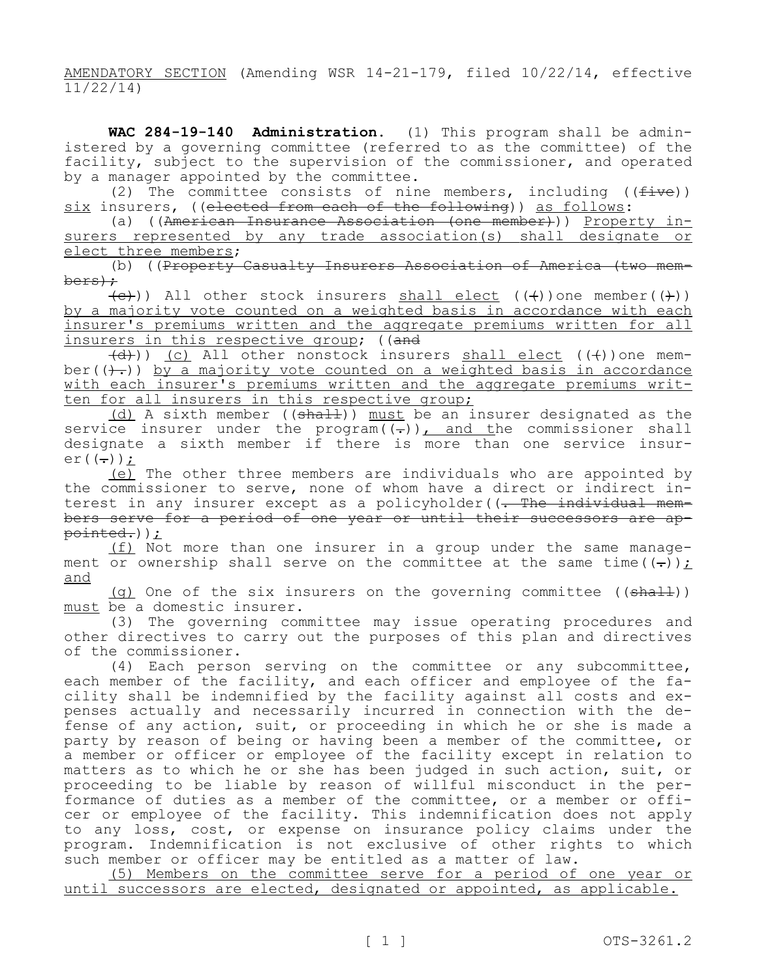AMENDATORY SECTION (Amending WSR 14-21-179, filed 10/22/14, effective  $\frac{11}{22/14}$ 

WAC 284-19-140 Administration. (1) This program shall be administered by a governing committee (referred to as the committee) of the facility, subject to the supervision of the commissioner, and operated by a manager appointed by the committee.

(2) The committee consists of nine members, including ( $(five)$ ) six insurers, ((elected from each of the following)) as follows:<br>(a) ((American Insurance Association (one member))) Property in-

surers represented by any trade association(s) shall designate or elect three members;

(b) ((Property Casualty Insurers Association of America (two mem-<br>bers):

 $\overline{(e)}}$ )) All other stock insurers shall elect  $((+))$ one member $((+)$ ) by a majority vote counted on a weighted basis in accordance with each insurer's premiums written and the aggregate premiums written for all insurers in this respective group; ((and

 $\left(\frac{d}{d}\right)$ ) (c) All other nonstock insurers shall elect ( $\left(\frac{d}{d}\right)$ ) one member  $((+))$  by a majority vote counted on a weighted basis in accordance with each insurer's premiums written and the aggregate premiums writ-<br>ten for all insurers in this respective group;

(d) A sixth member ((shall)) must be an insurer designated as the service insurer under the program $((-))$ , and the commissioner shall designate a sixth member if there is more than one service insur-<br>er((-));

(e) The other three members are individuals who are appointed by the commissioner to serve, none of whom have a direct or indirect interest in any insurer except as a policyholder((<del>. The individual mem-<br>bers serve for a period of one year or until their successors are ap-<br>pointed.));<br>(f) Not more than one insurer in a group under the same manage-</del>

ment or ownership shall serve on the committee at the same time( $(\frac{1}{r})$ ); and

(g) One of the six insurers on the governing committee  $((shalt))$ must be a domestic insurer.

(3) The governing committee may issue operating procedures and other directives to carry out the purposes of this plan and directives of the commissioner.

(4) Each person serving on the committee or any subcommittee,<br>each member of the facility, and each officer and employee of the facility shall be indemnified by the facility against all costs and ex-<br>penses actually and necessarily incurred in connection with the de-<br>fense of any action, suit, or proceeding in which he or she is made a party by reason of being or having been a member of the committee, or a member or officer or employee of the facility except in relation to matters as to which he or she has been judged in such action, suit, or proceeding to be liable by reason of willful misconduct in the performance of duties as a member of the committee, or a member or officer or employee of the facility. This indemnification does not apply to any loss, cost, or expense on insurance policy claims under the program. Indemnification is not exclusive of other rights to which such member or officer may be entitled as a matter of law.

(5) Members on the committee serve for a period of one year or until successors are elected, designated or appointed, as applicable.